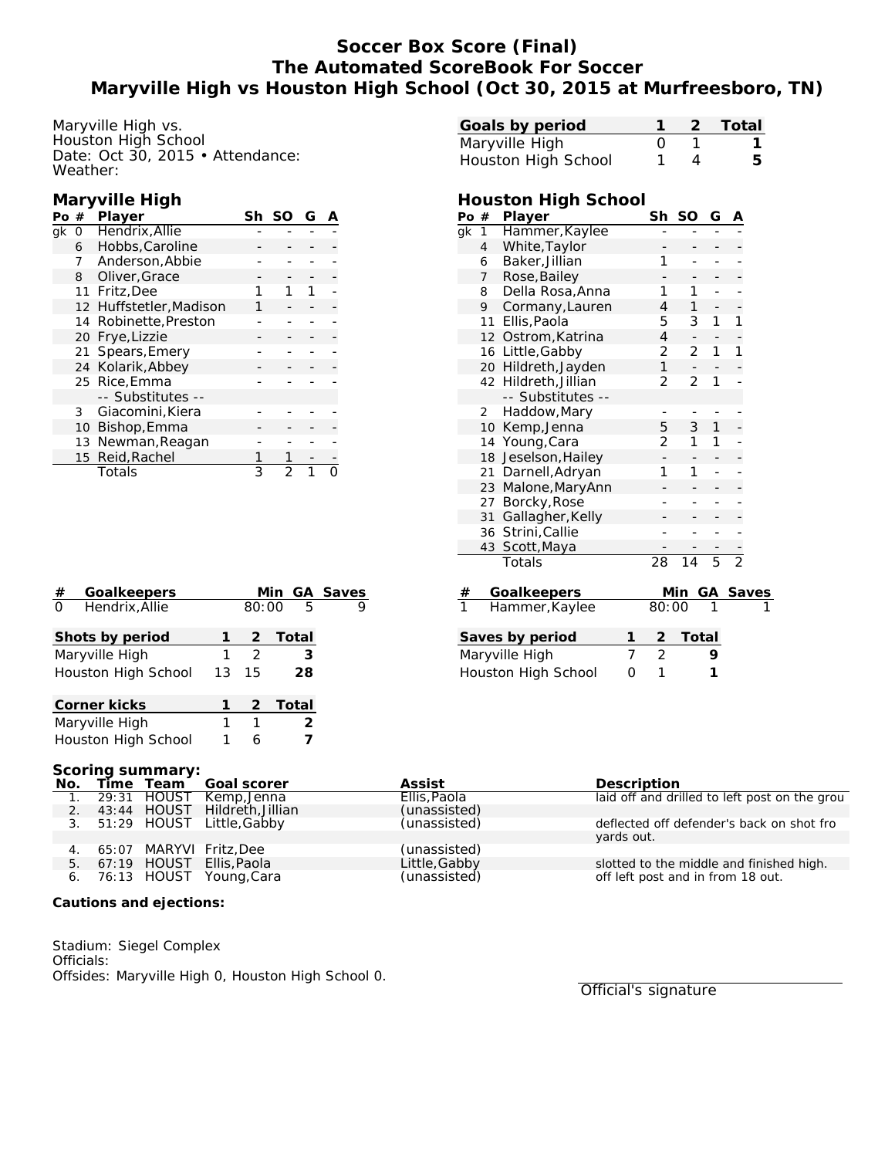# **Soccer Box Score (Final) The Automated ScoreBook For Soccer Maryville High vs Houston High School (Oct 30, 2015 at Murfreesboro, TN)**

Maryville High vs. Houston High School Date: Oct 30, 2015 • Attendance: Weather:

#### **Maryville High**

| Pο | #  | Player                  | Sh | G |  |
|----|----|-------------------------|----|---|--|
| ak | O  | Hendrix, Allie          |    |   |  |
|    | 6  | Hobbs, Caroline         |    |   |  |
|    | 7  | Anderson, Abbie         |    |   |  |
|    | 8  | Oliver, Grace           |    |   |  |
|    |    | 11 Fritz, Dee           |    |   |  |
|    |    | 12 Huffstetler, Madison |    |   |  |
|    | 14 | Robinette, Preston      |    |   |  |
|    | 20 | Frye, Lizzie            |    |   |  |
|    | 21 | Spears, Emery           |    |   |  |
|    | 24 | Kolarik, Abbey          |    |   |  |
|    |    | 25 Rice, Emma           |    |   |  |
|    |    | -- Substitutes --       |    |   |  |
|    | 3  | Giacomini, Kiera        |    |   |  |
|    | 10 | Bishop, Emma            |    |   |  |
|    | 13 | Newman, Reagan          |    |   |  |
|    |    | 15 Reid, Rachel         |    |   |  |
|    |    | Totals                  | 3  |   |  |

| Goalkeepers<br>#           |    |               | Min GA Saves |   |
|----------------------------|----|---------------|--------------|---|
| Hendrix, Allie<br>$\Omega$ |    | 80:00         | .5           | 9 |
| Shots by period            |    | 2             | Total        |   |
| Maryville High             |    | $\mathcal{D}$ | 3            |   |
| Houston High School        | 13 | 15            | 28           |   |
| Corner kicks               |    |               | 2 Total      |   |
| Maryville High             |    |               | 2            |   |
| Houston High School        |    | 6             |              |   |

| Goals by period     |  | 2 Total |
|---------------------|--|---------|
| Maryville High      |  |         |
| Houston High School |  | h       |

### **Houston High School**

| Po $#$          |                  | Player              |   | Sh             | SO    | G              | Α              |              |
|-----------------|------------------|---------------------|---|----------------|-------|----------------|----------------|--------------|
| gk              | $\mathbf{1}$     | Hammer, Kaylee      |   |                |       |                |                |              |
|                 | $\overline{4}$   | White, Taylor       |   |                |       |                |                |              |
|                 | 6                | Baker, Jillian      |   | 1              |       |                |                |              |
|                 | 7                | Rose, Bailey        |   |                |       |                |                |              |
|                 | 8                | Della Rosa, Anna    |   | 1              | 1     |                |                |              |
|                 | 9                | Cormany, Lauren     |   | 4              | 1     |                |                |              |
|                 | 11               | Ellis, Paola        |   | 5              | 3     | 1              | 1              |              |
|                 |                  | 12 Ostrom, Katrina  |   | 4              |       |                |                |              |
|                 | 16 Little, Gabby |                     |   | 2              | 2     | 1              | 1              |              |
|                 |                  | 20 Hildreth, Jayden |   | $\mathbf{1}$   |       |                |                |              |
|                 | 42               | Hildreth, Jillian   |   | 2              | 2     | 1              |                |              |
|                 |                  | -- Substitutes --   |   |                |       |                |                |              |
|                 | 2                | Haddow, Mary        |   |                |       |                |                |              |
|                 | 10               | Kemp, Jenna         |   | 5              | 3     | $\mathbf{1}$   |                |              |
|                 | 14               | Young, Cara         |   | 2              | 1     | 1              |                |              |
|                 | 18               | Jeselson, Hailey    |   |                |       |                |                |              |
|                 | 21               | Darnell, Adryan     |   | 1              | 1     |                |                |              |
|                 | 23               | Malone, MaryAnn     |   |                |       |                |                |              |
|                 | 27               | Borcky, Rose        |   |                |       |                |                |              |
|                 | 31               | Gallagher, Kelly    |   |                |       |                |                |              |
|                 | 36               | Strini, Callie      |   |                |       |                |                |              |
|                 | 43               | Scott, Maya         |   |                |       |                |                |              |
|                 |                  | Totals              |   | 28             | 14    | $\overline{5}$ | $\overline{2}$ |              |
|                 |                  |                     |   |                |       |                |                |              |
| $\#$            |                  | <b>Goalkeepers</b>  |   |                | Min   | GА             |                | <b>Saves</b> |
|                 |                  | Hammer, Kaylee      |   | 80:00          |       |                |                |              |
|                 |                  |                     |   |                |       |                |                |              |
| Saves by period |                  |                     | 1 | 2              | Total |                |                |              |
| Maryville High  |                  |                     | 7 | $\overline{2}$ |       | 9              |                |              |

Houston High School 0 1 1

| Scoring summary: |  |  |                               |               |                                               |  |  |  |
|------------------|--|--|-------------------------------|---------------|-----------------------------------------------|--|--|--|
|                  |  |  | No. Time Team Goal scorer     | Assist        | Description                                   |  |  |  |
|                  |  |  | 29:31 HOUST Kemp, Jenna       | Ellis, Paola  | laid off and drilled to left post on the grou |  |  |  |
| $\overline{2}$ . |  |  | 43:44 HOUST Hildreth, Jillian | (unassisted)  |                                               |  |  |  |
|                  |  |  | 3. 51:29 HOUST Little, Gabby  | (unassisted)  | deflected off defender's back on shot fro     |  |  |  |
|                  |  |  |                               |               | vards out.                                    |  |  |  |
|                  |  |  | 65:07 MARYVI Fritz, Dee       | (unassisted)  |                                               |  |  |  |
| 5.               |  |  | 67:19 HOUST Ellis, Paola      | Little, Gabby | slotted to the middle and finished high.      |  |  |  |
|                  |  |  | 76:13 HOUST Young, Cara       | (unassisted)  | off left post and in from 18 out.             |  |  |  |

**Cautions and ejections:**

Stadium: Siegel Complex Officials: Offsides: Maryville High 0, Houston High School 0.

Official's signature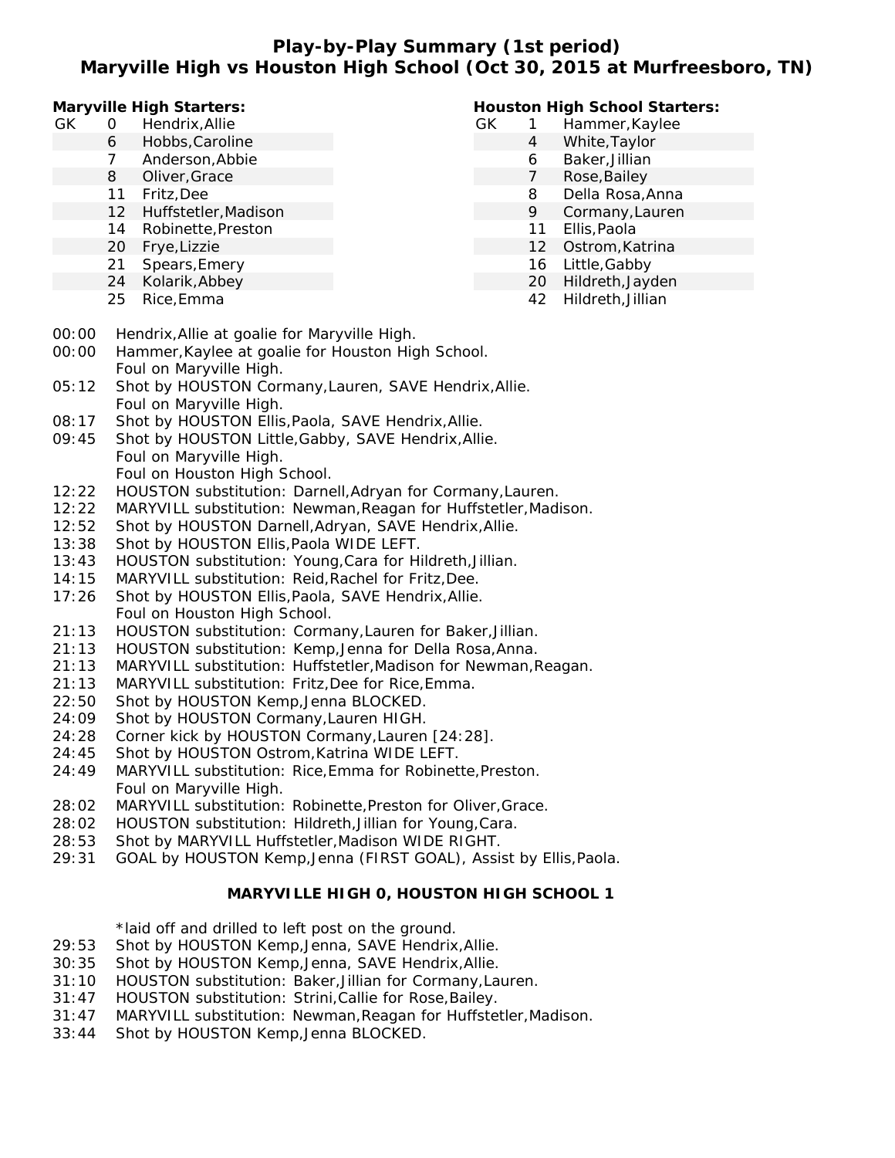## **Play-by-Play Summary (1st period) Maryville High vs Houston High School (Oct 30, 2015 at Murfreesboro, TN)**

**Maryville High Starters:**

- GK 0 Hendrix,Allie
	- 6 Hobbs,Caroline
	- 7 Anderson,Abbie
	- 8 Oliver,Grace
	- 11 Fritz,Dee
	- 12 Huffstetler,Madison
	- 14 Robinette,Preston
	- 20 Frye,Lizzie
	- 21 Spears,Emery
	- 24 Kolarik,Abbey
	- 25 Rice,Emma

### **Houston High School Starters:**

- GK 1 Hammer,Kaylee
	- 4 White,Taylor
		- 6 Baker,Jillian
	- 7 Rose,Bailey
	- 8 Della Rosa,Anna
	- 9 Cormany,Lauren
	- 11 Ellis,Paola
	- 12 Ostrom,Katrina
	- 16 Little,Gabby
	- 20 Hildreth,Jayden
		- 42 Hildreth,Jillian
- 00:00 Hendrix,Allie at goalie for Maryville High.
- 00:00 Hammer,Kaylee at goalie for Houston High School. Foul on Maryville High.
- 05:12 Shot by HOUSTON Cormany,Lauren, SAVE Hendrix,Allie. Foul on Maryville High.
- 08:17 Shot by HOUSTON Ellis,Paola, SAVE Hendrix,Allie.
- 09:45 Shot by HOUSTON Little,Gabby, SAVE Hendrix,Allie. Foul on Maryville High.
	- Foul on Houston High School.
- 12:22 HOUSTON substitution: Darnell,Adryan for Cormany,Lauren.
- 12:22 MARYVILL substitution: Newman,Reagan for Huffstetler,Madison.
- 12:52 Shot by HOUSTON Darnell,Adryan, SAVE Hendrix,Allie.
- 13:38 Shot by HOUSTON Ellis,Paola WIDE LEFT.
- 13:43 HOUSTON substitution: Young,Cara for Hildreth,Jillian.
- 14:15 MARYVILL substitution: Reid,Rachel for Fritz,Dee.
- 17:26 Shot by HOUSTON Ellis,Paola, SAVE Hendrix,Allie. Foul on Houston High School.
- 21:13 HOUSTON substitution: Cormany,Lauren for Baker,Jillian.
- 21:13 HOUSTON substitution: Kemp,Jenna for Della Rosa,Anna.
- 21:13 MARYVILL substitution: Huffstetler,Madison for Newman,Reagan.
- 21:13 MARYVILL substitution: Fritz,Dee for Rice,Emma.
- 22:50 Shot by HOUSTON Kemp,Jenna BLOCKED.
- 24:09 Shot by HOUSTON Cormany,Lauren HIGH.
- 24:28 Corner kick by HOUSTON Cormany,Lauren [24:28].
- 24:45 Shot by HOUSTON Ostrom,Katrina WIDE LEFT.
- 24:49 MARYVILL substitution: Rice,Emma for Robinette,Preston. Foul on Maryville High.
- 28:02 MARYVILL substitution: Robinette,Preston for Oliver,Grace.
- 28:02 HOUSTON substitution: Hildreth,Jillian for Young,Cara.
- 28:53 Shot by MARYVILL Huffstetler,Madison WIDE RIGHT.
- 29:31 GOAL by HOUSTON Kemp,Jenna (FIRST GOAL), Assist by Ellis,Paola.

### **MARYVILLE HIGH 0, HOUSTON HIGH SCHOOL 1**

\*laid off and drilled to left post on the ground.

- 29:53 Shot by HOUSTON Kemp,Jenna, SAVE Hendrix,Allie.
- 30:35 Shot by HOUSTON Kemp,Jenna, SAVE Hendrix,Allie.
- 31:10 HOUSTON substitution: Baker,Jillian for Cormany,Lauren.
- 31:47 HOUSTON substitution: Strini,Callie for Rose,Bailey.
- 31:47 MARYVILL substitution: Newman,Reagan for Huffstetler,Madison.
- 33:44 Shot by HOUSTON Kemp,Jenna BLOCKED.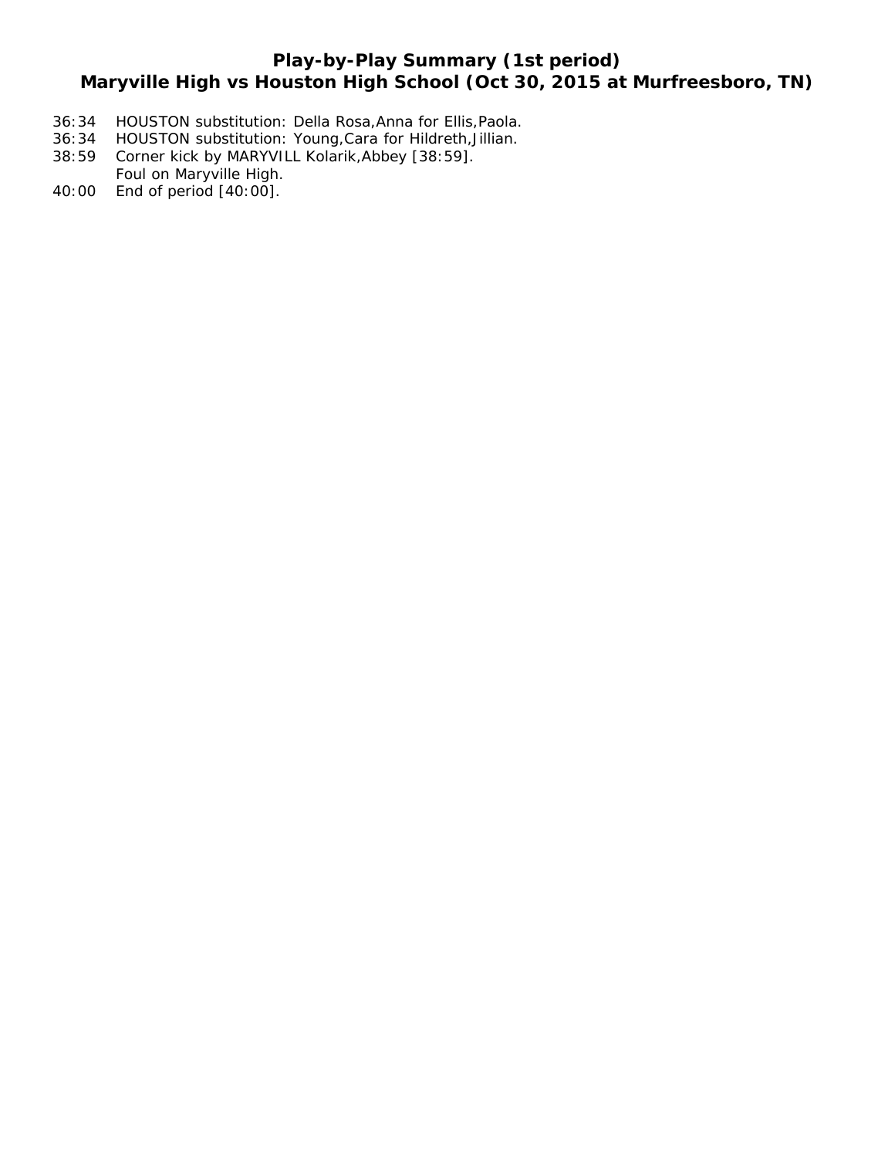# **Play-by-Play Summary (1st period) Maryville High vs Houston High School (Oct 30, 2015 at Murfreesboro, TN)**

- 36:34 HOUSTON substitution: Della Rosa,Anna for Ellis,Paola.
- 36:34 HOUSTON substitution: Young,Cara for Hildreth,Jillian.
- 38:59 Corner kick by MARYVILL Kolarik,Abbey [38:59]. Foul on Maryville High.
- 40:00 End of period [40:00].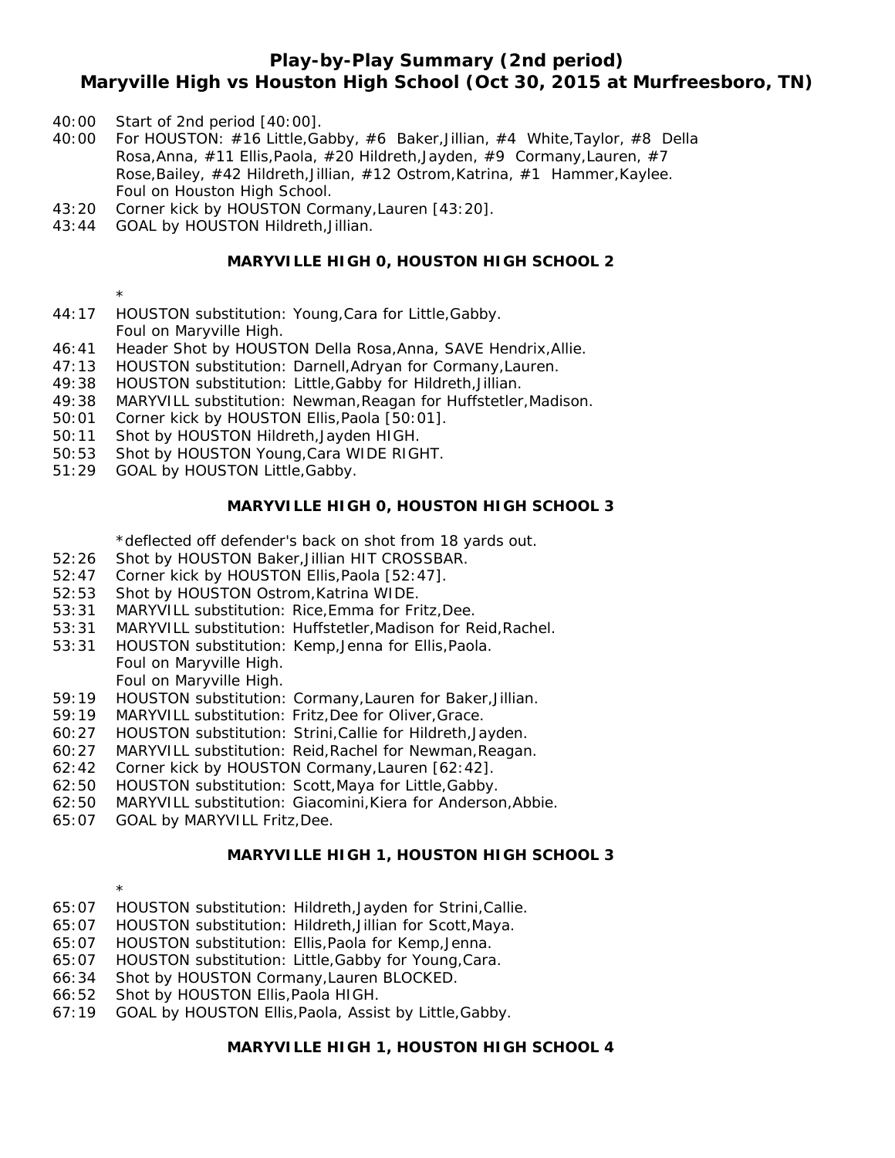# **Play-by-Play Summary (2nd period) Maryville High vs Houston High School (Oct 30, 2015 at Murfreesboro, TN)**

- 40:00 Start of 2nd period [40:00].
- 40:00 For HOUSTON: #16 Little,Gabby, #6 Baker,Jillian, #4 White,Taylor, #8 Della Rosa,Anna, #11 Ellis,Paola, #20 Hildreth,Jayden, #9 Cormany,Lauren, #7 Rose,Bailey, #42 Hildreth,Jillian, #12 Ostrom,Katrina, #1 Hammer,Kaylee. Foul on Houston High School.
- 43:20 Corner kick by HOUSTON Cormany,Lauren [43:20].
- 43:44 GOAL by HOUSTON Hildreth,Jillian.

#### **MARYVILLE HIGH 0, HOUSTON HIGH SCHOOL 2**

- \*
- 44:17 HOUSTON substitution: Young,Cara for Little,Gabby. Foul on Maryville High.
- 46:41 Header Shot by HOUSTON Della Rosa,Anna, SAVE Hendrix,Allie.
- 47:13 HOUSTON substitution: Darnell,Adryan for Cormany,Lauren.
- 49:38 HOUSTON substitution: Little,Gabby for Hildreth,Jillian.
- 49:38 MARYVILL substitution: Newman,Reagan for Huffstetler,Madison.
- 50:01 Corner kick by HOUSTON Ellis,Paola [50:01].
- 50:11 Shot by HOUSTON Hildreth,Jayden HIGH.
- 50:53 Shot by HOUSTON Young,Cara WIDE RIGHT.
- 51:29 GOAL by HOUSTON Little,Gabby.

#### **MARYVILLE HIGH 0, HOUSTON HIGH SCHOOL 3**

\*deflected off defender's back on shot from 18 yards out.

- 52:26 Shot by HOUSTON Baker,Jillian HIT CROSSBAR.
- 52:47 Corner kick by HOUSTON Ellis,Paola [52:47].
- 52:53 Shot by HOUSTON Ostrom,Katrina WIDE.
- 53:31 MARYVILL substitution: Rice,Emma for Fritz,Dee.
- 53:31 MARYVILL substitution: Huffstetler,Madison for Reid,Rachel.
- 53:31 HOUSTON substitution: Kemp,Jenna for Ellis,Paola.

Foul on Maryville High. Foul on Maryville High.

- 59:19 HOUSTON substitution: Cormany,Lauren for Baker,Jillian.
- 59:19 MARYVILL substitution: Fritz,Dee for Oliver,Grace.
- 60:27 HOUSTON substitution: Strini,Callie for Hildreth,Jayden.
- 60:27 MARYVILL substitution: Reid,Rachel for Newman,Reagan.
- 62:42 Corner kick by HOUSTON Cormany,Lauren [62:42].
- 62:50 HOUSTON substitution: Scott,Maya for Little,Gabby.
- 62:50 MARYVILL substitution: Giacomini,Kiera for Anderson,Abbie.
- 65:07 GOAL by MARYVILL Fritz,Dee.

\*

#### **MARYVILLE HIGH 1, HOUSTON HIGH SCHOOL 3**

- 65:07 HOUSTON substitution: Hildreth,Jayden for Strini,Callie.
- 65:07 HOUSTON substitution: Hildreth,Jillian for Scott,Maya.
- 65:07 HOUSTON substitution: Ellis,Paola for Kemp,Jenna.
- 65:07 HOUSTON substitution: Little,Gabby for Young,Cara.
- 66:34 Shot by HOUSTON Cormany,Lauren BLOCKED.
- 66:52 Shot by HOUSTON Ellis,Paola HIGH.
- 67:19 GOAL by HOUSTON Ellis,Paola, Assist by Little,Gabby.

**MARYVILLE HIGH 1, HOUSTON HIGH SCHOOL 4**